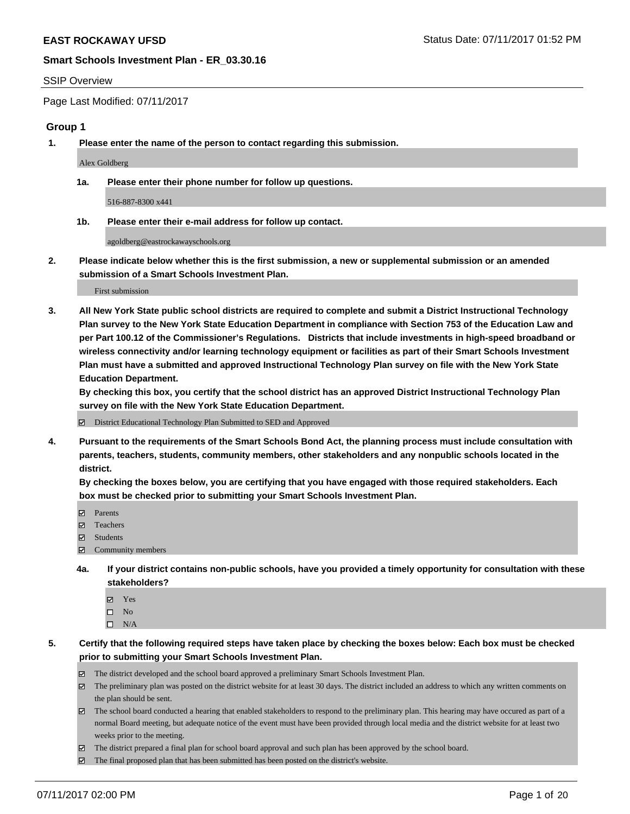#### SSIP Overview

Page Last Modified: 07/11/2017

## **Group 1**

**1. Please enter the name of the person to contact regarding this submission.**

Alex Goldberg

**1a. Please enter their phone number for follow up questions.**

516-887-8300 x441

**1b. Please enter their e-mail address for follow up contact.**

agoldberg@eastrockawayschools.org

**2. Please indicate below whether this is the first submission, a new or supplemental submission or an amended submission of a Smart Schools Investment Plan.**

First submission

**3. All New York State public school districts are required to complete and submit a District Instructional Technology Plan survey to the New York State Education Department in compliance with Section 753 of the Education Law and per Part 100.12 of the Commissioner's Regulations. Districts that include investments in high-speed broadband or wireless connectivity and/or learning technology equipment or facilities as part of their Smart Schools Investment Plan must have a submitted and approved Instructional Technology Plan survey on file with the New York State Education Department.** 

**By checking this box, you certify that the school district has an approved District Instructional Technology Plan survey on file with the New York State Education Department.**

District Educational Technology Plan Submitted to SED and Approved

**4. Pursuant to the requirements of the Smart Schools Bond Act, the planning process must include consultation with parents, teachers, students, community members, other stakeholders and any nonpublic schools located in the district.** 

**By checking the boxes below, you are certifying that you have engaged with those required stakeholders. Each box must be checked prior to submitting your Smart Schools Investment Plan.**

- **マ** Parents
- □ Teachers
- Students
- $\Xi$  Community members
- **4a. If your district contains non-public schools, have you provided a timely opportunity for consultation with these stakeholders?**
	- Yes
	- $\hfill \square$  No
	- $\square$  N/A
- **5. Certify that the following required steps have taken place by checking the boxes below: Each box must be checked prior to submitting your Smart Schools Investment Plan.**
	- The district developed and the school board approved a preliminary Smart Schools Investment Plan.
	- $\boxtimes$  The preliminary plan was posted on the district website for at least 30 days. The district included an address to which any written comments on the plan should be sent.
	- $\boxtimes$  The school board conducted a hearing that enabled stakeholders to respond to the preliminary plan. This hearing may have occured as part of a normal Board meeting, but adequate notice of the event must have been provided through local media and the district website for at least two weeks prior to the meeting.
	- The district prepared a final plan for school board approval and such plan has been approved by the school board.
	- $\boxtimes$  The final proposed plan that has been submitted has been posted on the district's website.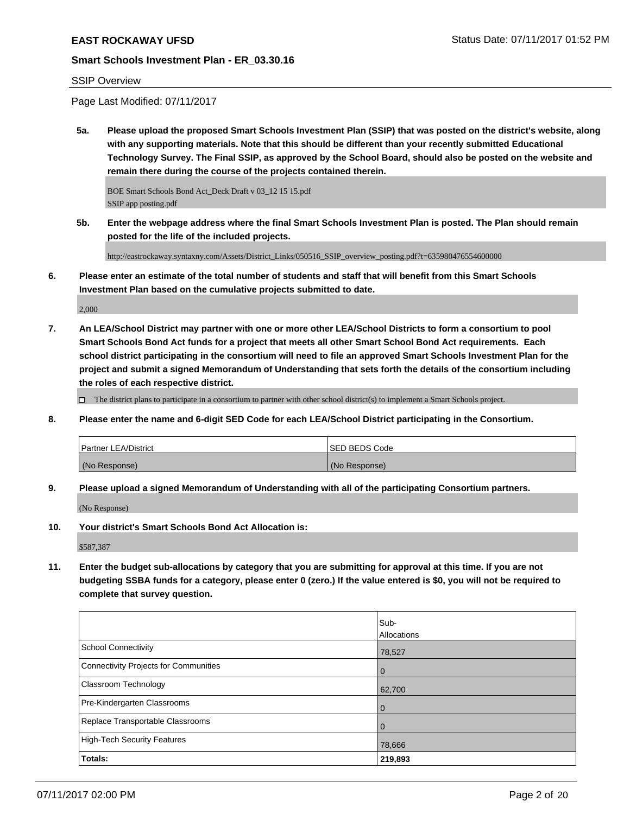## SSIP Overview

Page Last Modified: 07/11/2017

**5a. Please upload the proposed Smart Schools Investment Plan (SSIP) that was posted on the district's website, along with any supporting materials. Note that this should be different than your recently submitted Educational Technology Survey. The Final SSIP, as approved by the School Board, should also be posted on the website and remain there during the course of the projects contained therein.**

BOE Smart Schools Bond Act\_Deck Draft v 03\_12 15 15.pdf SSIP app posting.pdf

**5b. Enter the webpage address where the final Smart Schools Investment Plan is posted. The Plan should remain posted for the life of the included projects.**

http://eastrockaway.syntaxny.com/Assets/District\_Links/050516\_SSIP\_overview\_posting.pdf?t=635980476554600000

**6. Please enter an estimate of the total number of students and staff that will benefit from this Smart Schools Investment Plan based on the cumulative projects submitted to date.**

2,000

**7. An LEA/School District may partner with one or more other LEA/School Districts to form a consortium to pool Smart Schools Bond Act funds for a project that meets all other Smart School Bond Act requirements. Each school district participating in the consortium will need to file an approved Smart Schools Investment Plan for the project and submit a signed Memorandum of Understanding that sets forth the details of the consortium including the roles of each respective district.**

 $\Box$  The district plans to participate in a consortium to partner with other school district(s) to implement a Smart Schools project.

**8. Please enter the name and 6-digit SED Code for each LEA/School District participating in the Consortium.**

| <b>Partner LEA/District</b> | <b>ISED BEDS Code</b> |
|-----------------------------|-----------------------|
| (No Response)               | (No Response)         |

**9. Please upload a signed Memorandum of Understanding with all of the participating Consortium partners.**

(No Response)

**10. Your district's Smart Schools Bond Act Allocation is:**

\$587,387

**11. Enter the budget sub-allocations by category that you are submitting for approval at this time. If you are not budgeting SSBA funds for a category, please enter 0 (zero.) If the value entered is \$0, you will not be required to complete that survey question.**

|                                       | Sub-               |
|---------------------------------------|--------------------|
|                                       | <b>Allocations</b> |
| <b>School Connectivity</b>            | 78,527             |
| Connectivity Projects for Communities | $\overline{0}$     |
| <b>Classroom Technology</b>           | 62,700             |
| Pre-Kindergarten Classrooms           | l 0                |
| Replace Transportable Classrooms      | $\Omega$           |
| High-Tech Security Features           | 78,666             |
| Totals:                               | 219,893            |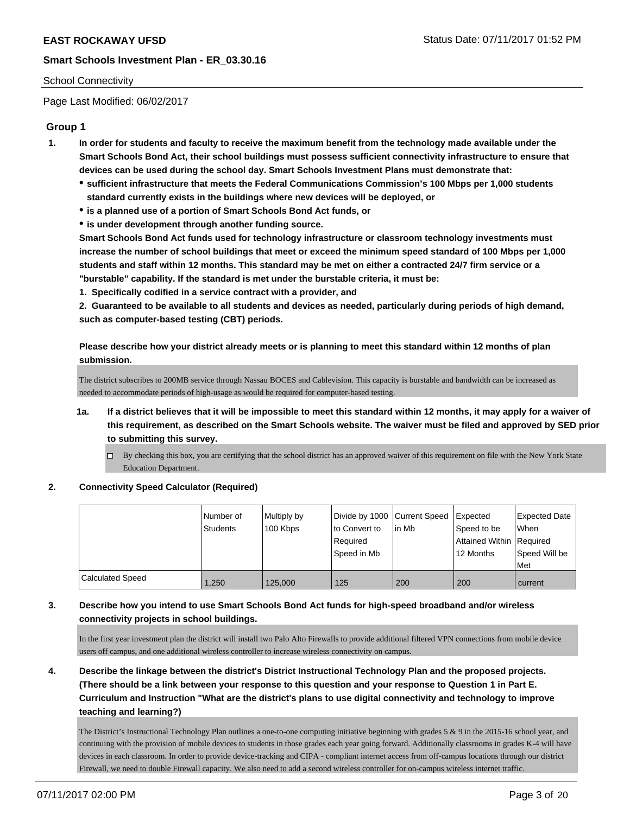## School Connectivity

Page Last Modified: 06/02/2017

## **Group 1**

- **1. In order for students and faculty to receive the maximum benefit from the technology made available under the Smart Schools Bond Act, their school buildings must possess sufficient connectivity infrastructure to ensure that devices can be used during the school day. Smart Schools Investment Plans must demonstrate that:**
	- **sufficient infrastructure that meets the Federal Communications Commission's 100 Mbps per 1,000 students standard currently exists in the buildings where new devices will be deployed, or**
	- **is a planned use of a portion of Smart Schools Bond Act funds, or**
	- **is under development through another funding source.**

**Smart Schools Bond Act funds used for technology infrastructure or classroom technology investments must increase the number of school buildings that meet or exceed the minimum speed standard of 100 Mbps per 1,000 students and staff within 12 months. This standard may be met on either a contracted 24/7 firm service or a "burstable" capability. If the standard is met under the burstable criteria, it must be:**

**1. Specifically codified in a service contract with a provider, and**

**2. Guaranteed to be available to all students and devices as needed, particularly during periods of high demand, such as computer-based testing (CBT) periods.**

**Please describe how your district already meets or is planning to meet this standard within 12 months of plan submission.**

The district subscribes to 200MB service through Nassau BOCES and Cablevision. This capacity is burstable and bandwidth can be increased as needed to accommodate periods of high-usage as would be required for computer-based testing.

- **1a. If a district believes that it will be impossible to meet this standard within 12 months, it may apply for a waiver of this requirement, as described on the Smart Schools website. The waiver must be filed and approved by SED prior to submitting this survey.**
	- $\Box$  By checking this box, you are certifying that the school district has an approved waiver of this requirement on file with the New York State Education Department.
- **2. Connectivity Speed Calculator (Required)**

|                         | Number of<br>Students | Multiply by<br>100 Kbps | Divide by 1000 Current Speed<br>to Convert to<br>Required<br>Speed in Mb | l in Mb | Expected<br>Speed to be<br>Attained Within Required<br>12 Months | Expected Date<br><b>When</b><br>Speed Will be<br>Met |
|-------------------------|-----------------------|-------------------------|--------------------------------------------------------------------------|---------|------------------------------------------------------------------|------------------------------------------------------|
| <b>Calculated Speed</b> | 1,250                 | 125,000                 | 125                                                                      | 200     | 200                                                              | current                                              |

## **3. Describe how you intend to use Smart Schools Bond Act funds for high-speed broadband and/or wireless connectivity projects in school buildings.**

In the first year investment plan the district will install two Palo Alto Firewalls to provide additional filtered VPN connections from mobile device users off campus, and one additional wireless controller to increase wireless connectivity on campus.

**4. Describe the linkage between the district's District Instructional Technology Plan and the proposed projects. (There should be a link between your response to this question and your response to Question 1 in Part E. Curriculum and Instruction "What are the district's plans to use digital connectivity and technology to improve teaching and learning?)**

The District's Instructional Technology Plan outlines a one-to-one computing initiative beginning with grades 5 & 9 in the 2015-16 school year, and continuing with the provision of mobile devices to students in those grades each year going forward. Additionally classrooms in grades K-4 will have devices in each classroom. In order to provide device-tracking and CIPA - compliant internet access from off-campus locations through our district Firewall, we need to double Firewall capacity. We also need to add a second wireless controller for on-campus wireless internet traffic.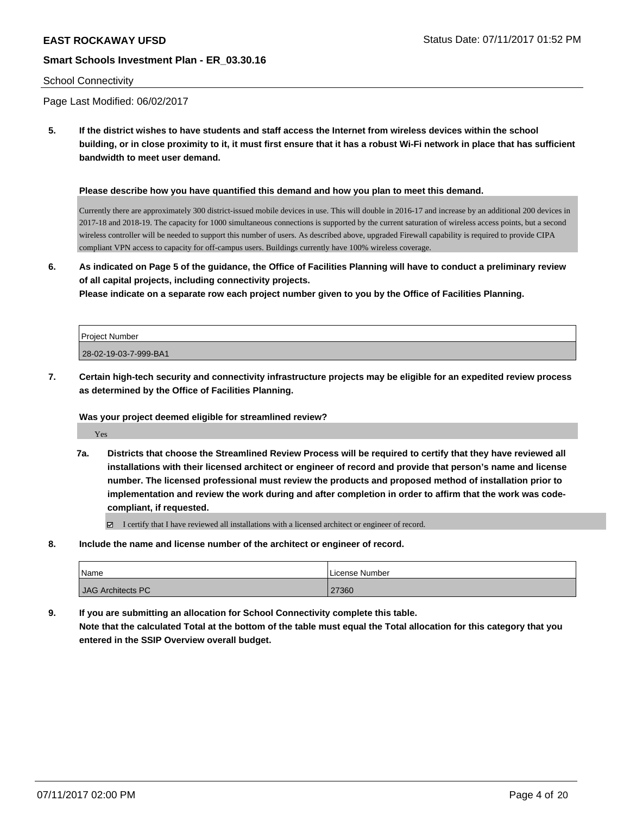### School Connectivity

Page Last Modified: 06/02/2017

**5. If the district wishes to have students and staff access the Internet from wireless devices within the school building, or in close proximity to it, it must first ensure that it has a robust Wi-Fi network in place that has sufficient bandwidth to meet user demand.**

#### **Please describe how you have quantified this demand and how you plan to meet this demand.**

Currently there are approximately 300 district-issued mobile devices in use. This will double in 2016-17 and increase by an additional 200 devices in 2017-18 and 2018-19. The capacity for 1000 simultaneous connections is supported by the current saturation of wireless access points, but a second wireless controller will be needed to support this number of users. As described above, upgraded Firewall capability is required to provide CIPA compliant VPN access to capacity for off-campus users. Buildings currently have 100% wireless coverage.

**6. As indicated on Page 5 of the guidance, the Office of Facilities Planning will have to conduct a preliminary review of all capital projects, including connectivity projects.**

**Please indicate on a separate row each project number given to you by the Office of Facilities Planning.**

| <b>Project Number</b> |  |
|-----------------------|--|
| 28-02-19-03-7-999-BA1 |  |

**7. Certain high-tech security and connectivity infrastructure projects may be eligible for an expedited review process as determined by the Office of Facilities Planning.**

### **Was your project deemed eligible for streamlined review?**

Yes

**7a. Districts that choose the Streamlined Review Process will be required to certify that they have reviewed all installations with their licensed architect or engineer of record and provide that person's name and license number. The licensed professional must review the products and proposed method of installation prior to implementation and review the work during and after completion in order to affirm that the work was codecompliant, if requested.**

I certify that I have reviewed all installations with a licensed architect or engineer of record.

**8. Include the name and license number of the architect or engineer of record.**

| Name              | License Number |
|-------------------|----------------|
| JAG Architects PC | 27360          |

**9. If you are submitting an allocation for School Connectivity complete this table.**

**Note that the calculated Total at the bottom of the table must equal the Total allocation for this category that you entered in the SSIP Overview overall budget.**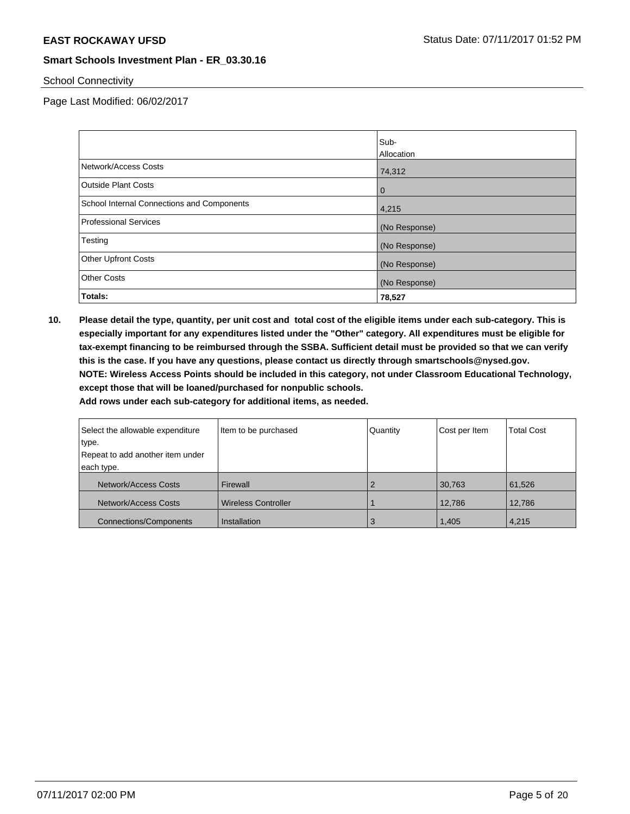## School Connectivity

Page Last Modified: 06/02/2017

|                                            | Sub-           |
|--------------------------------------------|----------------|
|                                            | Allocation     |
| Network/Access Costs                       | 74,312         |
| <b>Outside Plant Costs</b>                 | $\overline{0}$ |
| School Internal Connections and Components | 4,215          |
| <b>Professional Services</b>               | (No Response)  |
| Testing                                    | (No Response)  |
| <b>Other Upfront Costs</b>                 | (No Response)  |
| <b>Other Costs</b>                         | (No Response)  |
| Totals:                                    | 78,527         |

**10. Please detail the type, quantity, per unit cost and total cost of the eligible items under each sub-category. This is especially important for any expenditures listed under the "Other" category. All expenditures must be eligible for tax-exempt financing to be reimbursed through the SSBA. Sufficient detail must be provided so that we can verify this is the case. If you have any questions, please contact us directly through smartschools@nysed.gov. NOTE: Wireless Access Points should be included in this category, not under Classroom Educational Technology, except those that will be loaned/purchased for nonpublic schools.**

| Select the allowable expenditure | Item to be purchased       | Quantity | Cost per Item | <b>Total Cost</b> |
|----------------------------------|----------------------------|----------|---------------|-------------------|
| type.                            |                            |          |               |                   |
| Repeat to add another item under |                            |          |               |                   |
| each type.                       |                            |          |               |                   |
| Network/Access Costs             | Firewall                   |          | 30,763        | 61,526            |
| Network/Access Costs             | <b>Wireless Controller</b> |          | 12,786        | 12,786            |
| <b>Connections/Components</b>    | Installation               | 3        | 1,405         | 4,215             |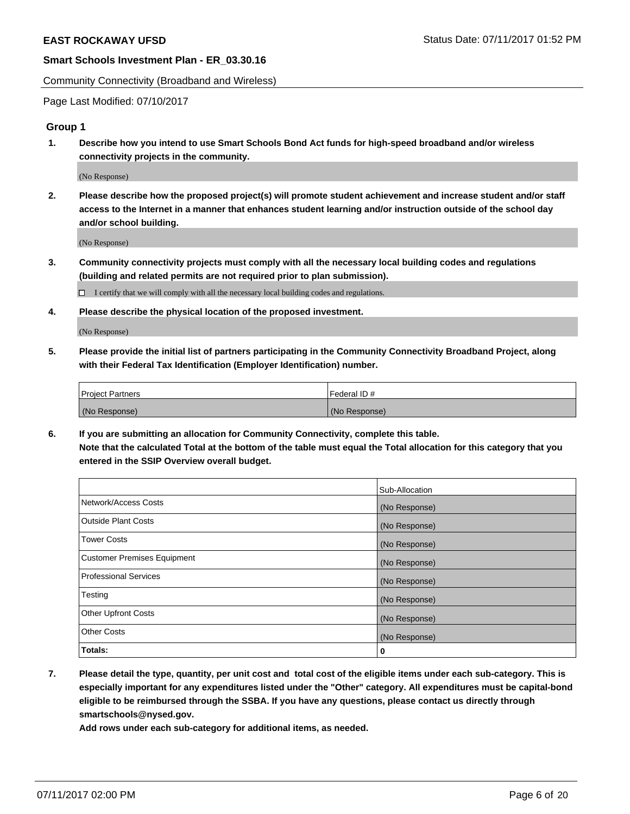Community Connectivity (Broadband and Wireless)

Page Last Modified: 07/10/2017

## **Group 1**

**1. Describe how you intend to use Smart Schools Bond Act funds for high-speed broadband and/or wireless connectivity projects in the community.**

(No Response)

**2. Please describe how the proposed project(s) will promote student achievement and increase student and/or staff access to the Internet in a manner that enhances student learning and/or instruction outside of the school day and/or school building.**

(No Response)

**3. Community connectivity projects must comply with all the necessary local building codes and regulations (building and related permits are not required prior to plan submission).**

 $\Box$  I certify that we will comply with all the necessary local building codes and regulations.

**4. Please describe the physical location of the proposed investment.**

(No Response)

**5. Please provide the initial list of partners participating in the Community Connectivity Broadband Project, along with their Federal Tax Identification (Employer Identification) number.**

| <b>Project Partners</b> | Federal ID#     |
|-------------------------|-----------------|
| (No Response)           | l (No Response) |

**6. If you are submitting an allocation for Community Connectivity, complete this table. Note that the calculated Total at the bottom of the table must equal the Total allocation for this category that you entered in the SSIP Overview overall budget.**

|                              | Sub-Allocation |
|------------------------------|----------------|
| Network/Access Costs         | (No Response)  |
| Outside Plant Costs          | (No Response)  |
| <b>Tower Costs</b>           | (No Response)  |
| Customer Premises Equipment  | (No Response)  |
| <b>Professional Services</b> | (No Response)  |
| Testing                      | (No Response)  |
| <b>Other Upfront Costs</b>   | (No Response)  |
| <b>Other Costs</b>           | (No Response)  |
| Totals:                      | 0              |

**7. Please detail the type, quantity, per unit cost and total cost of the eligible items under each sub-category. This is especially important for any expenditures listed under the "Other" category. All expenditures must be capital-bond eligible to be reimbursed through the SSBA. If you have any questions, please contact us directly through smartschools@nysed.gov.**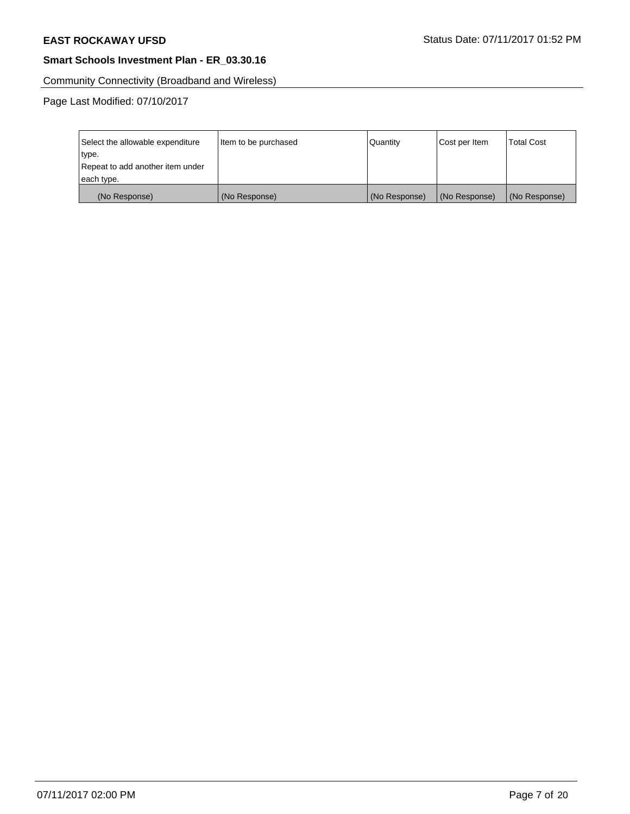Community Connectivity (Broadband and Wireless)

Page Last Modified: 07/10/2017

| Select the allowable expenditure | Item to be purchased | Quantity      | Cost per Item | <b>Total Cost</b> |
|----------------------------------|----------------------|---------------|---------------|-------------------|
| type.                            |                      |               |               |                   |
| Repeat to add another item under |                      |               |               |                   |
| each type.                       |                      |               |               |                   |
| (No Response)                    | (No Response)        | (No Response) | (No Response) | (No Response)     |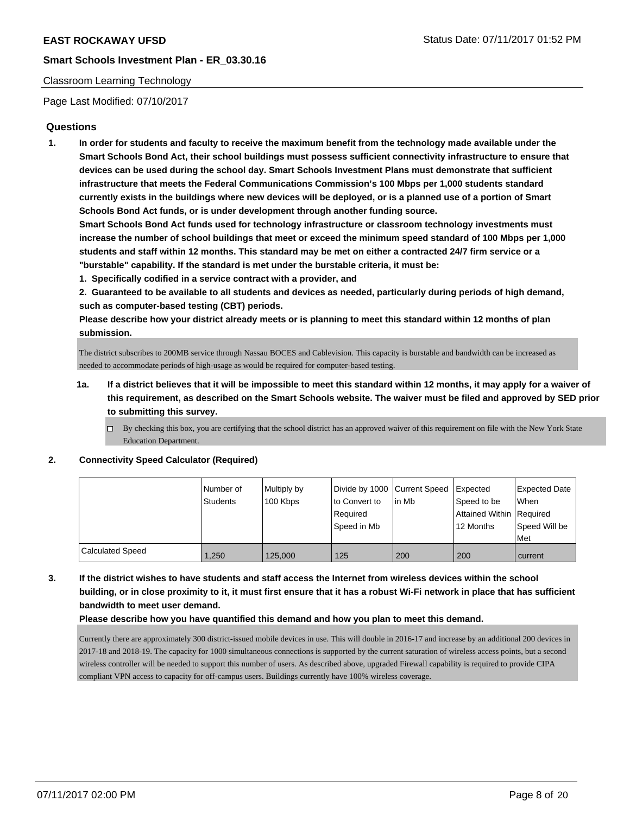## Classroom Learning Technology

Page Last Modified: 07/10/2017

## **Questions**

**1. In order for students and faculty to receive the maximum benefit from the technology made available under the Smart Schools Bond Act, their school buildings must possess sufficient connectivity infrastructure to ensure that devices can be used during the school day. Smart Schools Investment Plans must demonstrate that sufficient infrastructure that meets the Federal Communications Commission's 100 Mbps per 1,000 students standard currently exists in the buildings where new devices will be deployed, or is a planned use of a portion of Smart Schools Bond Act funds, or is under development through another funding source.**

**Smart Schools Bond Act funds used for technology infrastructure or classroom technology investments must increase the number of school buildings that meet or exceed the minimum speed standard of 100 Mbps per 1,000 students and staff within 12 months. This standard may be met on either a contracted 24/7 firm service or a "burstable" capability. If the standard is met under the burstable criteria, it must be:**

**1. Specifically codified in a service contract with a provider, and**

**2. Guaranteed to be available to all students and devices as needed, particularly during periods of high demand, such as computer-based testing (CBT) periods.**

**Please describe how your district already meets or is planning to meet this standard within 12 months of plan submission.**

The district subscribes to 200MB service through Nassau BOCES and Cablevision. This capacity is burstable and bandwidth can be increased as needed to accommodate periods of high-usage as would be required for computer-based testing.

- **1a. If a district believes that it will be impossible to meet this standard within 12 months, it may apply for a waiver of this requirement, as described on the Smart Schools website. The waiver must be filed and approved by SED prior to submitting this survey.**
	- $\Box$  By checking this box, you are certifying that the school district has an approved waiver of this requirement on file with the New York State Education Department.

### **2. Connectivity Speed Calculator (Required)**

|                  | l Number of<br>Students | Multiply by<br>100 Kbps | to Convert to           | Divide by 1000 Current Speed Expected<br>l in Mb | Speed to be                           | Expected Date<br>When |
|------------------|-------------------------|-------------------------|-------------------------|--------------------------------------------------|---------------------------------------|-----------------------|
|                  |                         |                         | Reauired<br>Speed in Mb |                                                  | Attained Within Required<br>12 Months | Speed Will be<br>Met  |
| Calculated Speed | 1.250                   | 125.000                 | 125                     | 200                                              | 200                                   | current               |

**3. If the district wishes to have students and staff access the Internet from wireless devices within the school building, or in close proximity to it, it must first ensure that it has a robust Wi-Fi network in place that has sufficient bandwidth to meet user demand.**

### **Please describe how you have quantified this demand and how you plan to meet this demand.**

Currently there are approximately 300 district-issued mobile devices in use. This will double in 2016-17 and increase by an additional 200 devices in 2017-18 and 2018-19. The capacity for 1000 simultaneous connections is supported by the current saturation of wireless access points, but a second wireless controller will be needed to support this number of users. As described above, upgraded Firewall capability is required to provide CIPA compliant VPN access to capacity for off-campus users. Buildings currently have 100% wireless coverage.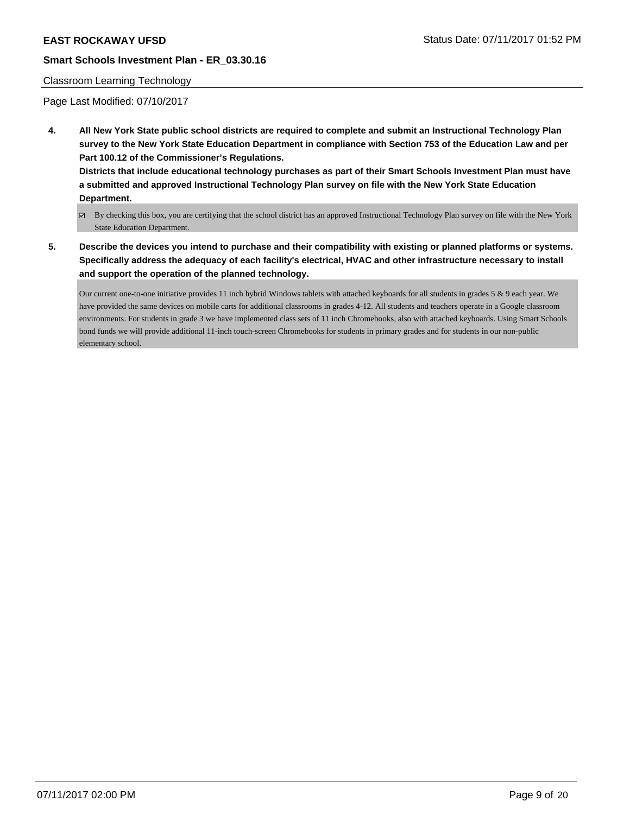## Classroom Learning Technology

Page Last Modified: 07/10/2017

**4. All New York State public school districts are required to complete and submit an Instructional Technology Plan survey to the New York State Education Department in compliance with Section 753 of the Education Law and per Part 100.12 of the Commissioner's Regulations.**

**Districts that include educational technology purchases as part of their Smart Schools Investment Plan must have a submitted and approved Instructional Technology Plan survey on file with the New York State Education Department.**

- By checking this box, you are certifying that the school district has an approved Instructional Technology Plan survey on file with the New York State Education Department.
- **5. Describe the devices you intend to purchase and their compatibility with existing or planned platforms or systems. Specifically address the adequacy of each facility's electrical, HVAC and other infrastructure necessary to install and support the operation of the planned technology.**

Our current one-to-one initiative provides 11 inch hybrid Windows tablets with attached keyboards for all students in grades 5 & 9 each year. We have provided the same devices on mobile carts for additional classrooms in grades 4-12. All students and teachers operate in a Google classroom environments. For students in grade 3 we have implemented class sets of 11 inch Chromebooks, also with attached keyboards. Using Smart Schools bond funds we will provide additional 11-inch touch-screen Chromebooks for students in primary grades and for students in our non-public elementary school.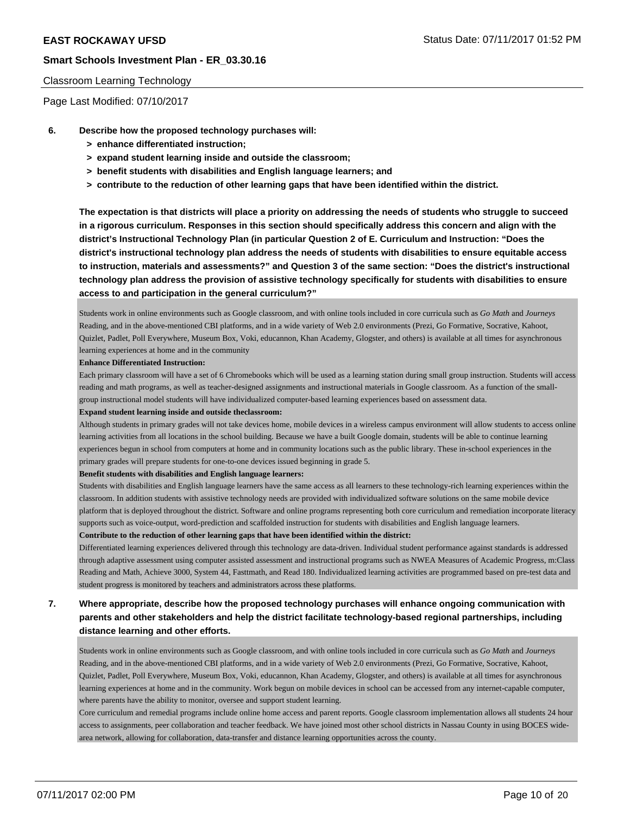### Classroom Learning Technology

Page Last Modified: 07/10/2017

- **6. Describe how the proposed technology purchases will:**
	- **> enhance differentiated instruction;**
	- **> expand student learning inside and outside the classroom;**
	- **> benefit students with disabilities and English language learners; and**
	- **> contribute to the reduction of other learning gaps that have been identified within the district.**

**The expectation is that districts will place a priority on addressing the needs of students who struggle to succeed in a rigorous curriculum. Responses in this section should specifically address this concern and align with the district's Instructional Technology Plan (in particular Question 2 of E. Curriculum and Instruction: "Does the district's instructional technology plan address the needs of students with disabilities to ensure equitable access to instruction, materials and assessments?" and Question 3 of the same section: "Does the district's instructional technology plan address the provision of assistive technology specifically for students with disabilities to ensure access to and participation in the general curriculum?"**

Students work in online environments such as Google classroom, and with online tools included in core curricula such as *Go Math* and *Journeys* Reading, and in the above-mentioned CBI platforms, and in a wide variety of Web 2.0 environments (Prezi, Go Formative, Socrative, Kahoot, Quizlet, Padlet, Poll Everywhere, Museum Box, Voki, educannon, Khan Academy, Glogster, and others) is available at all times for asynchronous learning experiences at home and in the community

#### **Enhance Differentiated Instruction:**

Each primary classroom will have a set of 6 Chromebooks which will be used as a learning station during small group instruction. Students will access reading and math programs, as well as teacher-designed assignments and instructional materials in Google classroom. As a function of the smallgroup instructional model students will have individualized computer-based learning experiences based on assessment data.

#### **Expand student learning inside and outside theclassroom:**

Although students in primary grades will not take devices home, mobile devices in a wireless campus environment will allow students to access online learning activities from all locations in the school building. Because we have a built Google domain, students will be able to continue learning experiences begun in school from computers at home and in community locations such as the public library. These in-school experiences in the primary grades will prepare students for one-to-one devices issued beginning in grade 5.

#### **Benefit students with disabilities and English language learners:**

Students with disabilities and English language learners have the same access as all learners to these technology-rich learning experiences within the classroom. In addition students with assistive technology needs are provided with individualized software solutions on the same mobile device platform that is deployed throughout the district. Software and online programs representing both core curriculum and remediation incorporate literacy supports such as voice-output, word-prediction and scaffolded instruction for students with disabilities and English language learners. **Contribute to the reduction of other learning gaps that have been identified within the district:**

Differentiated learning experiences delivered through this technology are data-driven. Individual student performance against standards is addressed through adaptive assessment using computer assisted assessment and instructional programs such as NWEA Measures of Academic Progress, m:Class Reading and Math, Achieve 3000, System 44, Fasttmath, and Read 180. Individualized learning activities are programmed based on pre-test data and student progress is monitored by teachers and administrators across these platforms.

## **7. Where appropriate, describe how the proposed technology purchases will enhance ongoing communication with parents and other stakeholders and help the district facilitate technology-based regional partnerships, including distance learning and other efforts.**

Students work in online environments such as Google classroom, and with online tools included in core curricula such as *Go Math* and *Journeys* Reading, and in the above-mentioned CBI platforms, and in a wide variety of Web 2.0 environments (Prezi, Go Formative, Socrative, Kahoot, Quizlet, Padlet, Poll Everywhere, Museum Box, Voki, educannon, Khan Academy, Glogster, and others) is available at all times for asynchronous learning experiences at home and in the community. Work begun on mobile devices in school can be accessed from any internet-capable computer, where parents have the ability to monitor, oversee and support student learning.

Core curriculum and remedial programs include online home access and parent reports. Google classroom implementation allows all students 24 hour access to assignments, peer collaboration and teacher feedback. We have joined most other school districts in Nassau County in using BOCES widearea network, allowing for collaboration, data-transfer and distance learning opportunities across the county.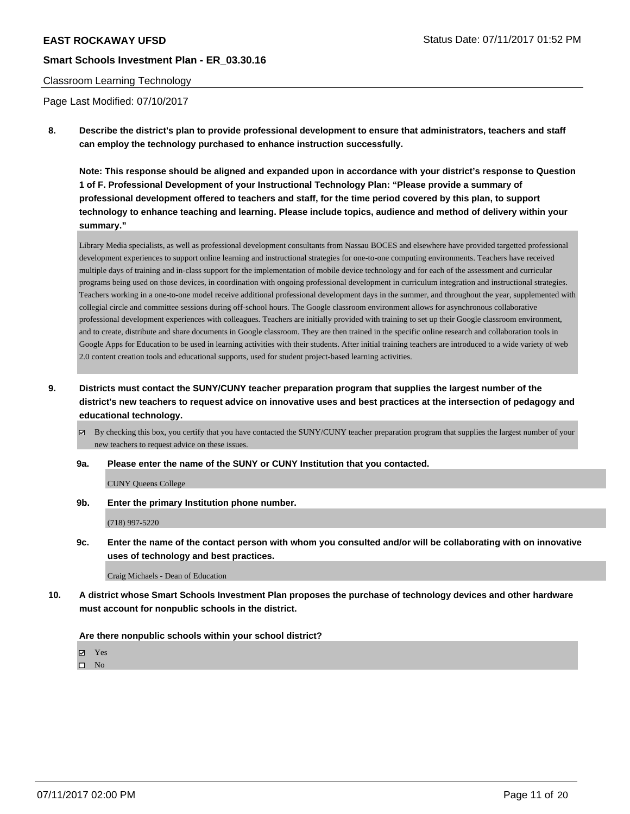## Classroom Learning Technology

Page Last Modified: 07/10/2017

**8. Describe the district's plan to provide professional development to ensure that administrators, teachers and staff can employ the technology purchased to enhance instruction successfully.**

**Note: This response should be aligned and expanded upon in accordance with your district's response to Question 1 of F. Professional Development of your Instructional Technology Plan: "Please provide a summary of professional development offered to teachers and staff, for the time period covered by this plan, to support technology to enhance teaching and learning. Please include topics, audience and method of delivery within your summary."**

Library Media specialists, as well as professional development consultants from Nassau BOCES and elsewhere have provided targetted professional development experiences to support online learning and instructional strategies for one-to-one computing environments. Teachers have received multiple days of training and in-class support for the implementation of mobile device technology and for each of the assessment and curricular programs being used on those devices, in coordination with ongoing professional development in curriculum integration and instructional strategies. Teachers working in a one-to-one model receive additional professional development days in the summer, and throughout the year, supplemented with collegial circle and committee sessions during off-school hours. The Google classroom environment allows for asynchronous collaborative professional development experiences with colleagues. Teachers are initially provided with training to set up their Google classroom environment, and to create, distribute and share documents in Google classroom. They are then trained in the specific online research and collaboration tools in Google Apps for Education to be used in learning activities with their students. After initial training teachers are introduced to a wide variety of web 2.0 content creation tools and educational supports, used for student project-based learning activities.

- **9. Districts must contact the SUNY/CUNY teacher preparation program that supplies the largest number of the district's new teachers to request advice on innovative uses and best practices at the intersection of pedagogy and educational technology.**
	- $\boxtimes$  By checking this box, you certify that you have contacted the SUNY/CUNY teacher preparation program that supplies the largest number of your new teachers to request advice on these issues.
	- **9a. Please enter the name of the SUNY or CUNY Institution that you contacted.**

CUNY Queens College

**9b. Enter the primary Institution phone number.**

(718) 997-5220

**9c. Enter the name of the contact person with whom you consulted and/or will be collaborating with on innovative uses of technology and best practices.**

Craig Michaels - Dean of Education

**10. A district whose Smart Schools Investment Plan proposes the purchase of technology devices and other hardware must account for nonpublic schools in the district.**

**Are there nonpublic schools within your school district?**

**Ø** Yes

 $\square$  No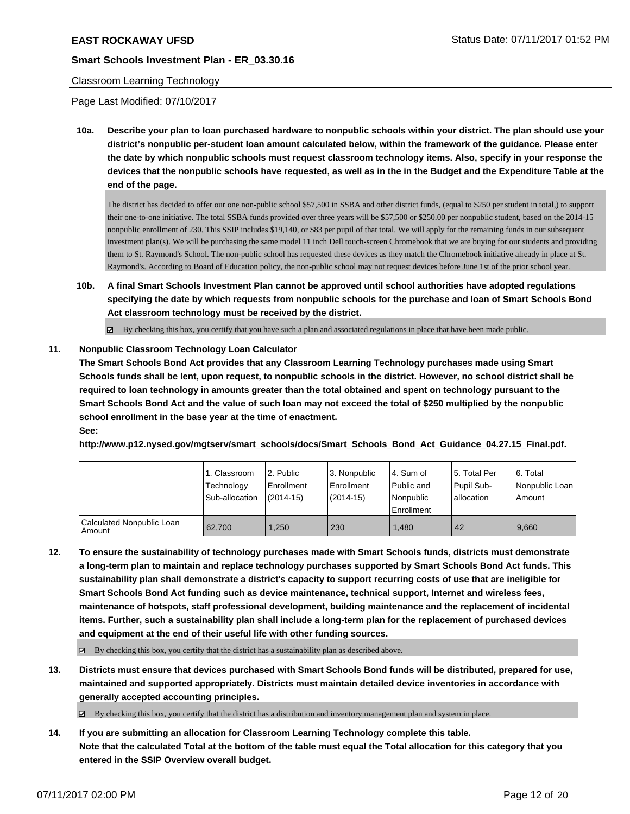## Classroom Learning Technology

Page Last Modified: 07/10/2017

**10a. Describe your plan to loan purchased hardware to nonpublic schools within your district. The plan should use your district's nonpublic per-student loan amount calculated below, within the framework of the guidance. Please enter the date by which nonpublic schools must request classroom technology items. Also, specify in your response the devices that the nonpublic schools have requested, as well as in the in the Budget and the Expenditure Table at the end of the page.**

The district has decided to offer our one non-public school \$57,500 in SSBA and other district funds, (equal to \$250 per student in total,) to support their one-to-one initiative. The total SSBA funds provided over three years will be \$57,500 or \$250.00 per nonpublic student, based on the 2014-15 nonpublic enrollment of 230. This SSIP includes \$19,140, or \$83 per pupil of that total. We will apply for the remaining funds in our subsequent investment plan(s). We will be purchasing the same model 11 inch Dell touch-screen Chromebook that we are buying for our students and providing them to St. Raymond's School. The non-public school has requested these devices as they match the Chromebook initiative already in place at St. Raymond's. According to Board of Education policy, the non-public school may not request devices before June 1st of the prior school year.

**10b. A final Smart Schools Investment Plan cannot be approved until school authorities have adopted regulations specifying the date by which requests from nonpublic schools for the purchase and loan of Smart Schools Bond Act classroom technology must be received by the district.**

 $\boxtimes$  By checking this box, you certify that you have such a plan and associated regulations in place that have been made public.

## **11. Nonpublic Classroom Technology Loan Calculator**

**The Smart Schools Bond Act provides that any Classroom Learning Technology purchases made using Smart Schools funds shall be lent, upon request, to nonpublic schools in the district. However, no school district shall be required to loan technology in amounts greater than the total obtained and spent on technology pursuant to the Smart Schools Bond Act and the value of such loan may not exceed the total of \$250 multiplied by the nonpublic school enrollment in the base year at the time of enactment.**

**See:**

**http://www.p12.nysed.gov/mgtserv/smart\_schools/docs/Smart\_Schools\_Bond\_Act\_Guidance\_04.27.15\_Final.pdf.**

|                                       | 1. Classroom<br>Technology<br>Sub-allocation | 2. Public<br>l Enrollment<br>(2014-15) | l 3. Nonpublic<br>Enrollment<br>$(2014-15)$ | l 4. Sum of<br>Public and<br>l Nonpublic<br>l Enrollment | 15. Total Per<br>Pupil Sub-<br>allocation | l 6. Total<br>Nonpublic Loan  <br>Amount |
|---------------------------------------|----------------------------------------------|----------------------------------------|---------------------------------------------|----------------------------------------------------------|-------------------------------------------|------------------------------------------|
| Calculated Nonpublic Loan<br>  Amount | 62.700                                       | 1.250                                  | 230                                         | 1.480                                                    | 42                                        | 9.660                                    |

**12. To ensure the sustainability of technology purchases made with Smart Schools funds, districts must demonstrate a long-term plan to maintain and replace technology purchases supported by Smart Schools Bond Act funds. This sustainability plan shall demonstrate a district's capacity to support recurring costs of use that are ineligible for Smart Schools Bond Act funding such as device maintenance, technical support, Internet and wireless fees, maintenance of hotspots, staff professional development, building maintenance and the replacement of incidental items. Further, such a sustainability plan shall include a long-term plan for the replacement of purchased devices and equipment at the end of their useful life with other funding sources.**

 $\boxtimes$  By checking this box, you certify that the district has a sustainability plan as described above.

**13. Districts must ensure that devices purchased with Smart Schools Bond funds will be distributed, prepared for use, maintained and supported appropriately. Districts must maintain detailed device inventories in accordance with generally accepted accounting principles.**

 $\boxtimes$  By checking this box, you certify that the district has a distribution and inventory management plan and system in place.

**14. If you are submitting an allocation for Classroom Learning Technology complete this table. Note that the calculated Total at the bottom of the table must equal the Total allocation for this category that you entered in the SSIP Overview overall budget.**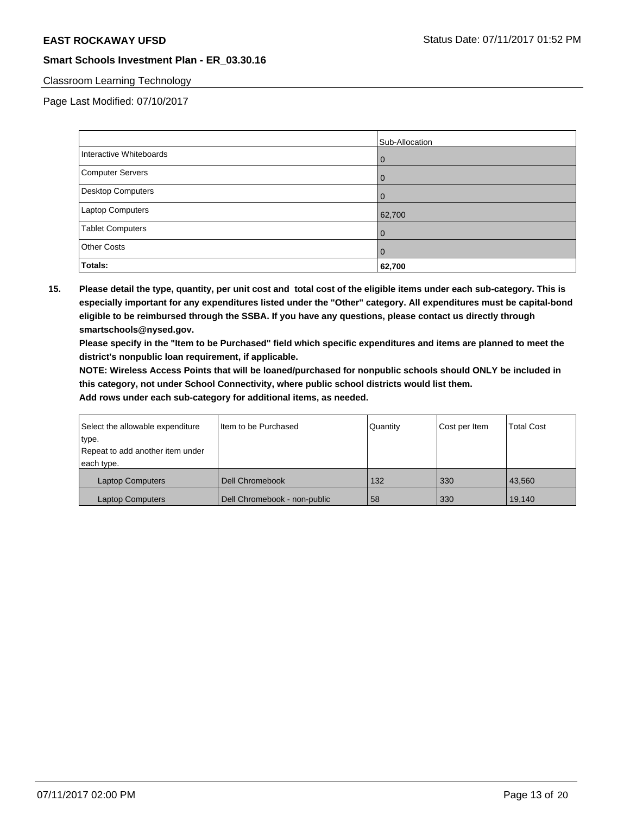## Classroom Learning Technology

Page Last Modified: 07/10/2017

|                         | Sub-Allocation |
|-------------------------|----------------|
| Interactive Whiteboards | 0              |
| Computer Servers        |                |
| Desktop Computers       |                |
| Laptop Computers        | 62,700         |
| <b>Tablet Computers</b> | 0              |
| <b>Other Costs</b>      | $\mathbf{O}$   |
| Totals:                 | 62,700         |

**15. Please detail the type, quantity, per unit cost and total cost of the eligible items under each sub-category. This is especially important for any expenditures listed under the "Other" category. All expenditures must be capital-bond eligible to be reimbursed through the SSBA. If you have any questions, please contact us directly through smartschools@nysed.gov.**

**Please specify in the "Item to be Purchased" field which specific expenditures and items are planned to meet the district's nonpublic loan requirement, if applicable.**

**NOTE: Wireless Access Points that will be loaned/purchased for nonpublic schools should ONLY be included in this category, not under School Connectivity, where public school districts would list them.**

| Select the allowable expenditure | Iltem to be Purchased        | Quantity | Cost per Item | <b>Total Cost</b> |
|----------------------------------|------------------------------|----------|---------------|-------------------|
| type.                            |                              |          |               |                   |
| Repeat to add another item under |                              |          |               |                   |
| each type.                       |                              |          |               |                   |
| <b>Laptop Computers</b>          | Dell Chromebook              | 132      | 330           | 43.560            |
| Laptop Computers                 | Dell Chromebook - non-public | 58       | 330           | 19.140            |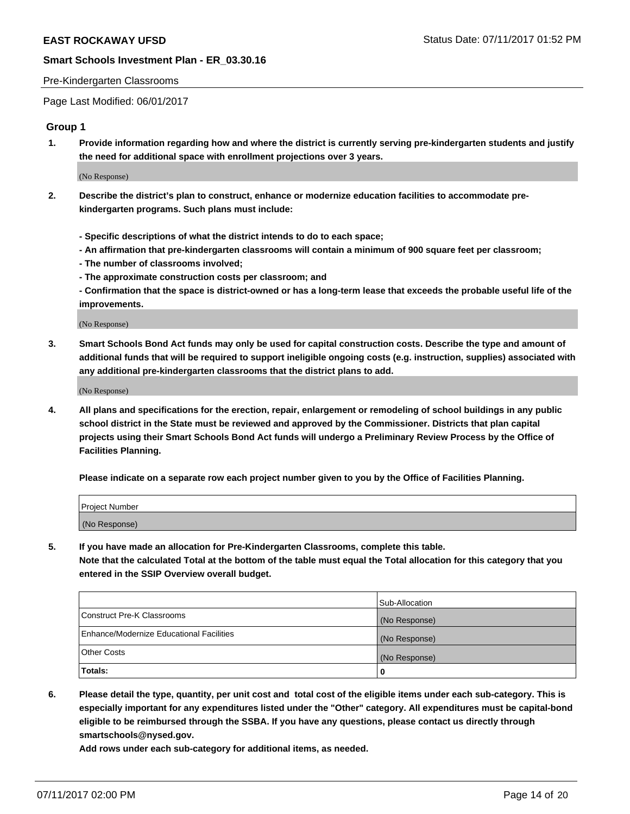#### Pre-Kindergarten Classrooms

Page Last Modified: 06/01/2017

## **Group 1**

**1. Provide information regarding how and where the district is currently serving pre-kindergarten students and justify the need for additional space with enrollment projections over 3 years.**

(No Response)

- **2. Describe the district's plan to construct, enhance or modernize education facilities to accommodate prekindergarten programs. Such plans must include:**
	- **Specific descriptions of what the district intends to do to each space;**
	- **An affirmation that pre-kindergarten classrooms will contain a minimum of 900 square feet per classroom;**
	- **The number of classrooms involved;**
	- **The approximate construction costs per classroom; and**
	- **Confirmation that the space is district-owned or has a long-term lease that exceeds the probable useful life of the improvements.**

(No Response)

**3. Smart Schools Bond Act funds may only be used for capital construction costs. Describe the type and amount of additional funds that will be required to support ineligible ongoing costs (e.g. instruction, supplies) associated with any additional pre-kindergarten classrooms that the district plans to add.**

(No Response)

**4. All plans and specifications for the erection, repair, enlargement or remodeling of school buildings in any public school district in the State must be reviewed and approved by the Commissioner. Districts that plan capital projects using their Smart Schools Bond Act funds will undergo a Preliminary Review Process by the Office of Facilities Planning.**

**Please indicate on a separate row each project number given to you by the Office of Facilities Planning.**

| Project Number |  |
|----------------|--|
| (No Response)  |  |

**5. If you have made an allocation for Pre-Kindergarten Classrooms, complete this table. Note that the calculated Total at the bottom of the table must equal the Total allocation for this category that you entered in the SSIP Overview overall budget.**

| Totals:                                  | 0              |
|------------------------------------------|----------------|
| Other Costs                              | (No Response)  |
| Enhance/Modernize Educational Facilities | (No Response)  |
| Construct Pre-K Classrooms               | (No Response)  |
|                                          | Sub-Allocation |

**6. Please detail the type, quantity, per unit cost and total cost of the eligible items under each sub-category. This is especially important for any expenditures listed under the "Other" category. All expenditures must be capital-bond eligible to be reimbursed through the SSBA. If you have any questions, please contact us directly through smartschools@nysed.gov.**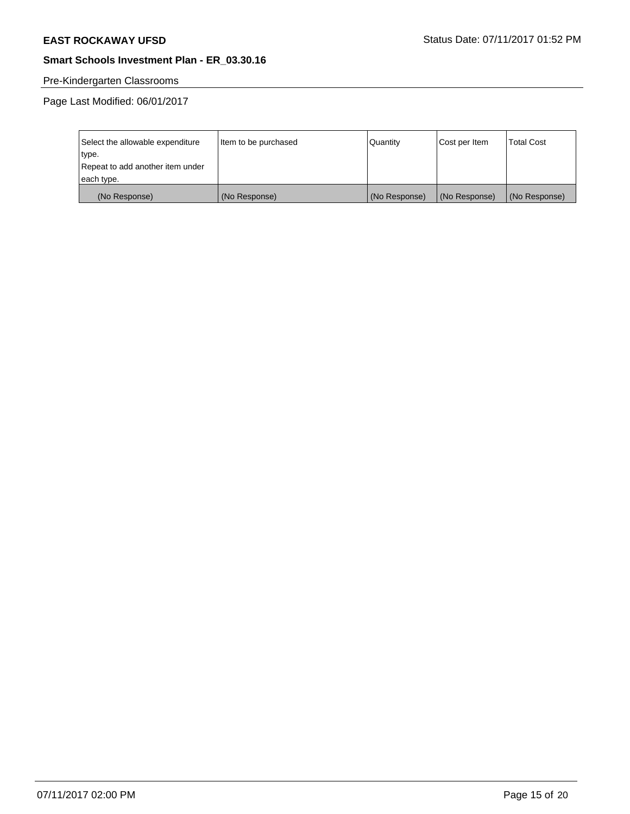# Pre-Kindergarten Classrooms

Page Last Modified: 06/01/2017

| Select the allowable expenditure | Item to be purchased | Quantity      | Cost per Item | <b>Total Cost</b> |
|----------------------------------|----------------------|---------------|---------------|-------------------|
| type.                            |                      |               |               |                   |
| Repeat to add another item under |                      |               |               |                   |
| each type.                       |                      |               |               |                   |
| (No Response)                    | (No Response)        | (No Response) | (No Response) | (No Response)     |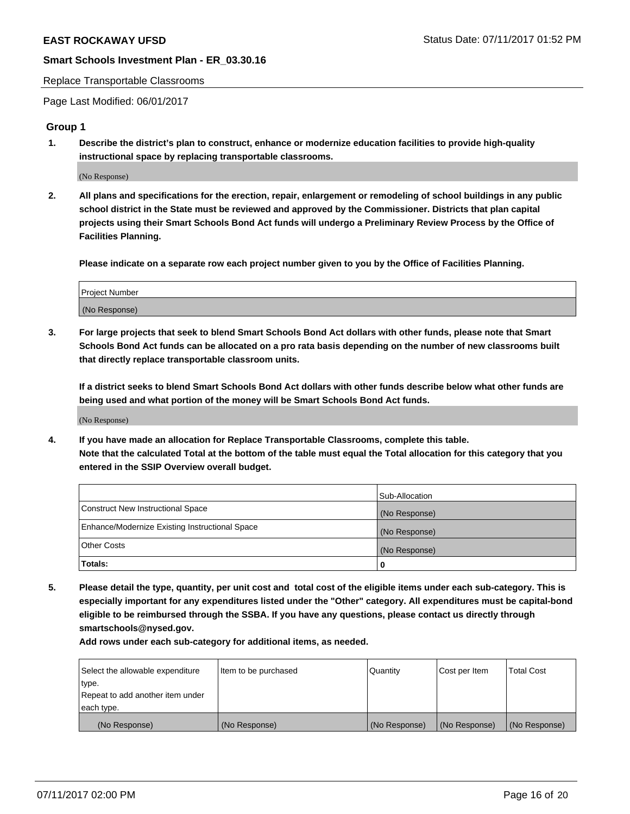#### Replace Transportable Classrooms

Page Last Modified: 06/01/2017

## **Group 1**

**1. Describe the district's plan to construct, enhance or modernize education facilities to provide high-quality instructional space by replacing transportable classrooms.**

(No Response)

**2. All plans and specifications for the erection, repair, enlargement or remodeling of school buildings in any public school district in the State must be reviewed and approved by the Commissioner. Districts that plan capital projects using their Smart Schools Bond Act funds will undergo a Preliminary Review Process by the Office of Facilities Planning.**

**Please indicate on a separate row each project number given to you by the Office of Facilities Planning.**

| Project Number |  |
|----------------|--|
| (No Response)  |  |

**3. For large projects that seek to blend Smart Schools Bond Act dollars with other funds, please note that Smart Schools Bond Act funds can be allocated on a pro rata basis depending on the number of new classrooms built that directly replace transportable classroom units.**

**If a district seeks to blend Smart Schools Bond Act dollars with other funds describe below what other funds are being used and what portion of the money will be Smart Schools Bond Act funds.**

(No Response)

**4. If you have made an allocation for Replace Transportable Classrooms, complete this table. Note that the calculated Total at the bottom of the table must equal the Total allocation for this category that you entered in the SSIP Overview overall budget.**

|                                                | Sub-Allocation |
|------------------------------------------------|----------------|
| Construct New Instructional Space              | (No Response)  |
| Enhance/Modernize Existing Instructional Space | (No Response)  |
| Other Costs                                    | (No Response)  |
| Totals:                                        | $\Omega$       |

**5. Please detail the type, quantity, per unit cost and total cost of the eligible items under each sub-category. This is especially important for any expenditures listed under the "Other" category. All expenditures must be capital-bond eligible to be reimbursed through the SSBA. If you have any questions, please contact us directly through smartschools@nysed.gov.**

| Select the allowable expenditure | Item to be purchased | Quantity      | Cost per Item | <b>Total Cost</b> |
|----------------------------------|----------------------|---------------|---------------|-------------------|
| type.                            |                      |               |               |                   |
| Repeat to add another item under |                      |               |               |                   |
| each type.                       |                      |               |               |                   |
| (No Response)                    | (No Response)        | (No Response) | (No Response) | (No Response)     |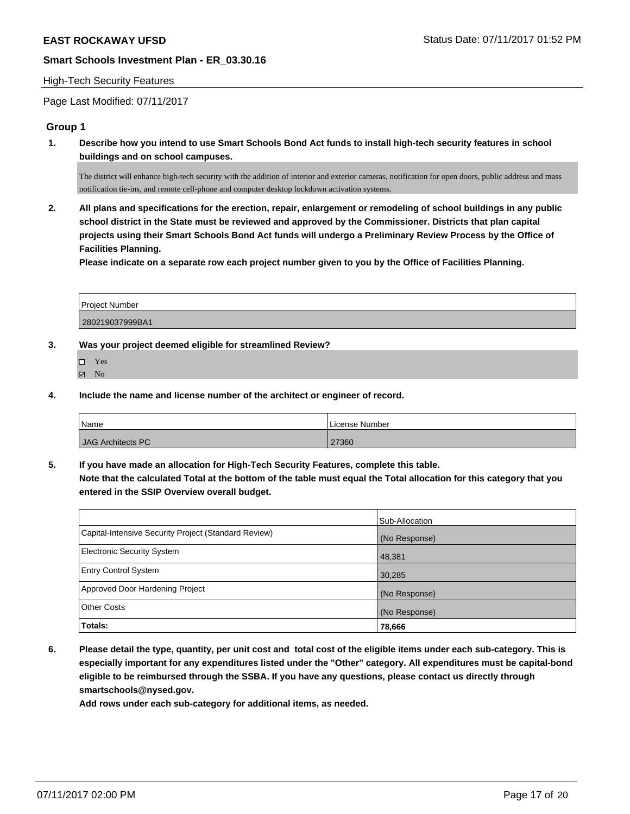### High-Tech Security Features

Page Last Modified: 07/11/2017

## **Group 1**

**1. Describe how you intend to use Smart Schools Bond Act funds to install high-tech security features in school buildings and on school campuses.**

The district will enhance high-tech security with the addition of interior and exterior cameras, notification for open doors, public address and mass notification tie-ins, and remote cell-phone and computer desktop lockdown activation systems.

**2. All plans and specifications for the erection, repair, enlargement or remodeling of school buildings in any public school district in the State must be reviewed and approved by the Commissioner. Districts that plan capital projects using their Smart Schools Bond Act funds will undergo a Preliminary Review Process by the Office of Facilities Planning.** 

**Please indicate on a separate row each project number given to you by the Office of Facilities Planning.**

| <b>Project Number</b> |  |
|-----------------------|--|
|                       |  |
| 280219037999BA1       |  |

**3. Was your project deemed eligible for streamlined Review?**

- Yes
- $\qquad \qquad$  No
- **4. Include the name and license number of the architect or engineer of record.**

| 'Name             | License Number |
|-------------------|----------------|
| JAG Architects PC | 27360          |

**5. If you have made an allocation for High-Tech Security Features, complete this table. Note that the calculated Total at the bottom of the table must equal the Total allocation for this category that you entered in the SSIP Overview overall budget.**

|                                                      | Sub-Allocation |
|------------------------------------------------------|----------------|
| Capital-Intensive Security Project (Standard Review) | (No Response)  |
| <b>Electronic Security System</b>                    | 48,381         |
| <b>Entry Control System</b>                          | 30,285         |
| Approved Door Hardening Project                      | (No Response)  |
| <b>Other Costs</b>                                   | (No Response)  |
| Totals:                                              | 78,666         |

**6. Please detail the type, quantity, per unit cost and total cost of the eligible items under each sub-category. This is especially important for any expenditures listed under the "Other" category. All expenditures must be capital-bond eligible to be reimbursed through the SSBA. If you have any questions, please contact us directly through smartschools@nysed.gov.**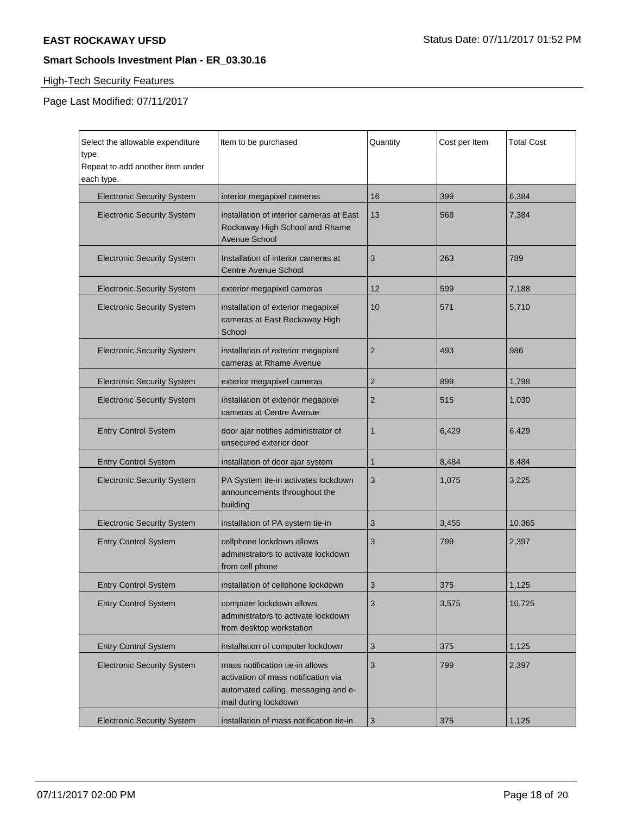# High-Tech Security Features

Page Last Modified: 07/11/2017

| Select the allowable expenditure<br>type.<br>Repeat to add another item under<br>each type. | Item to be purchased                                                                                                                  | Quantity       | Cost per Item | <b>Total Cost</b> |
|---------------------------------------------------------------------------------------------|---------------------------------------------------------------------------------------------------------------------------------------|----------------|---------------|-------------------|
| <b>Electronic Security System</b>                                                           | interior megapixel cameras                                                                                                            | 16             | 399           | 6,384             |
| <b>Electronic Security System</b>                                                           | installation of interior cameras at East<br>Rockaway High School and Rhame<br>Avenue School                                           | 13             | 568           | 7,384             |
| <b>Electronic Security System</b>                                                           | Installation of interior cameras at<br><b>Centre Avenue School</b>                                                                    | 3              | 263           | 789               |
| <b>Electronic Security System</b>                                                           | exterior megapixel cameras                                                                                                            | 12             | 599           | 7,188             |
| <b>Electronic Security System</b>                                                           | installation of exterior megapixel<br>cameras at East Rockaway High<br>School                                                         | 10             | 571           | 5,710             |
| <b>Electronic Security System</b>                                                           | installation of exterior megapixel<br>cameras at Rhame Avenue                                                                         | $\overline{2}$ | 493           | 986               |
| <b>Electronic Security System</b>                                                           | exterior megapixel cameras                                                                                                            | 2              | 899           | 1,798             |
| <b>Electronic Security System</b>                                                           | installation of exterior megapixel<br>cameras at Centre Avenue                                                                        | $\overline{2}$ | 515           | 1,030             |
| <b>Entry Control System</b>                                                                 | door ajar notifies administrator of<br>unsecured exterior door                                                                        | 1              | 6,429         | 6,429             |
| <b>Entry Control System</b>                                                                 | installation of door ajar system                                                                                                      | 1              | 8,484         | 8,484             |
| <b>Electronic Security System</b>                                                           | PA System tie-in activates lockdown<br>announcements throughout the<br>building                                                       | 3              | 1,075         | 3,225             |
| <b>Electronic Security System</b>                                                           | installation of PA system tie-in                                                                                                      | 3              | 3,455         | 10,365            |
| <b>Entry Control System</b>                                                                 | cellphone lockdown allows<br>administrators to activate lockdown<br>from cell phone                                                   | 3              | 799           | 2,397             |
| <b>Entry Control System</b>                                                                 | installation of cellphone lockdown                                                                                                    | 3              | 375           | 1,125             |
| <b>Entry Control System</b>                                                                 | computer lockdown allows<br>administrators to activate lockdown<br>from desktop workstation                                           | 3              | 3,575         | 10,725            |
| <b>Entry Control System</b>                                                                 | installation of computer lockdown                                                                                                     | 3              | 375           | 1,125             |
| <b>Electronic Security System</b>                                                           | mass notification tie-in allows<br>activation of mass notification via<br>automated calling, messaging and e-<br>mail during lockdown | 3              | 799           | 2,397             |
| <b>Electronic Security System</b>                                                           | installation of mass notification tie-in                                                                                              | 3              | 375           | 1,125             |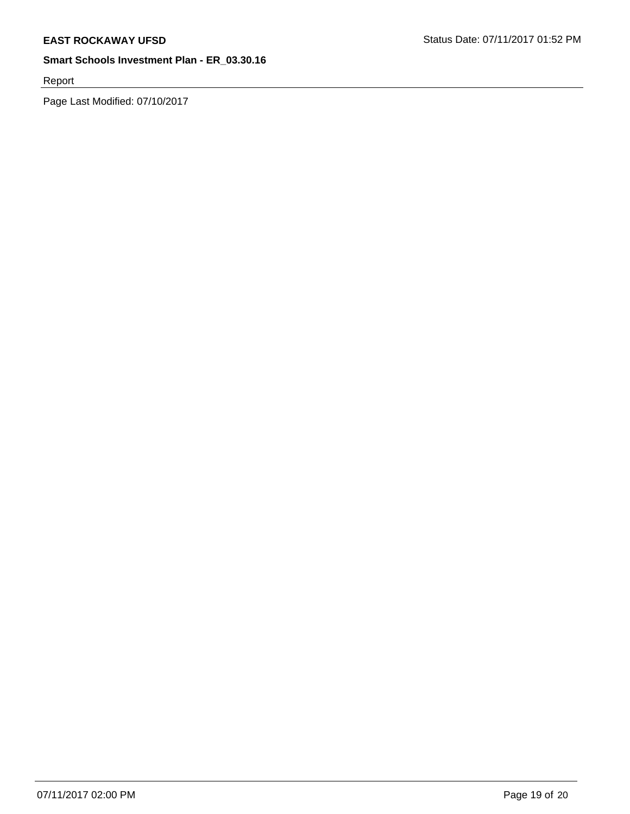Report

Page Last Modified: 07/10/2017